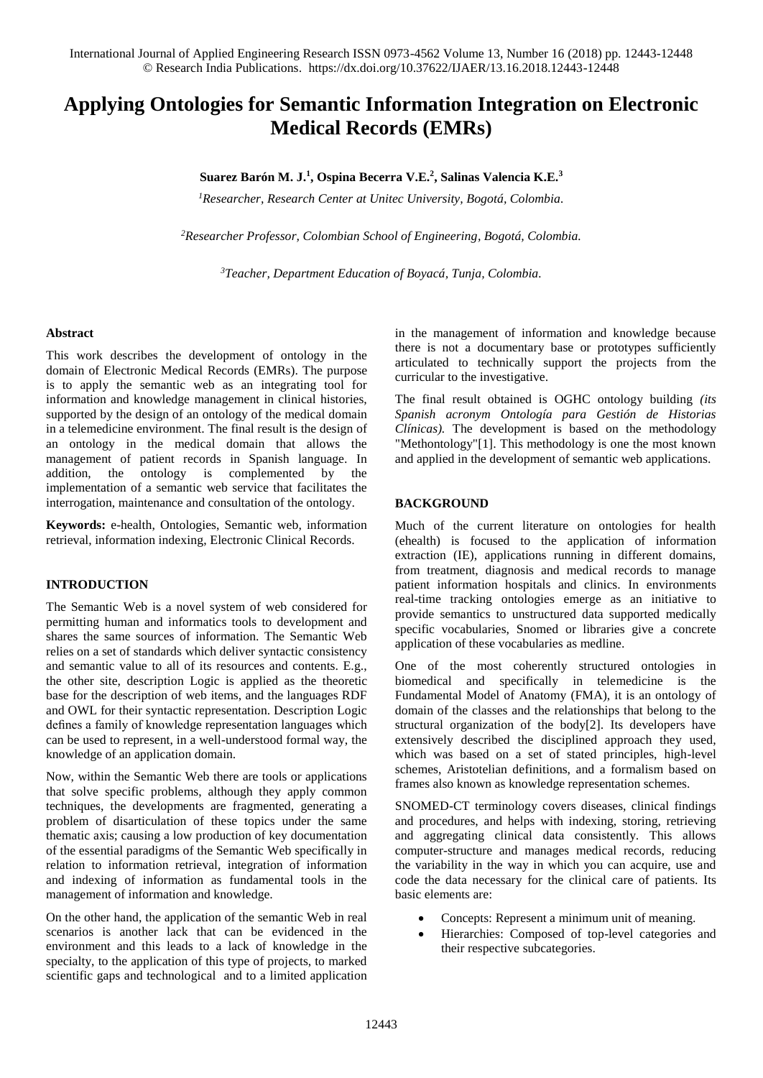# **Applying Ontologies for Semantic Information Integration on Electronic Medical Records (EMRs)**

## **Suarez Barón M. J.<sup>1</sup> , Ospina Becerra V.E.<sup>2</sup> , Salinas Valencia K.E.<sup>3</sup>**

*<sup>1</sup>Researcher, Research Center at Unitec University, Bogotá, Colombia.*

*<sup>2</sup>Researcher Professor, Colombian School of Engineering, Bogotá, Colombia.*

*<sup>3</sup>Teacher, Department Education of Boyacá, Tunja, Colombia.*

### **Abstract**

This work describes the development of ontology in the domain of Electronic Medical Records (EMRs). The purpose is to apply the semantic web as an integrating tool for information and knowledge management in clinical histories, supported by the design of an ontology of the medical domain in a telemedicine environment. The final result is the design of an ontology in the medical domain that allows the management of patient records in Spanish language. In addition, the ontology is complemented by the implementation of a semantic web service that facilitates the interrogation, maintenance and consultation of the ontology.

**Keywords:** e-health, Ontologies, Semantic web, information retrieval, information indexing, Electronic Clinical Records.

#### **INTRODUCTION**

The Semantic Web is a novel system of web considered for permitting human and informatics tools to development and shares the same sources of information. The Semantic Web relies on a set of standards which deliver syntactic consistency and semantic value to all of its resources and contents. E.g., the other site, description Logic is applied as the theoretic base for the description of web items, and the languages RDF and OWL for their syntactic representation. Description Logic defines a family of knowledge representation languages which can be used to represent, in a well-understood formal way, the knowledge of an application domain.

Now, within the Semantic Web there are tools or applications that solve specific problems, although they apply common techniques, the developments are fragmented, generating a problem of disarticulation of these topics under the same thematic axis; causing a low production of key documentation of the essential paradigms of the Semantic Web specifically in relation to information retrieval, integration of information and indexing of information as fundamental tools in the management of information and knowledge.

On the other hand, the application of the semantic Web in real scenarios is another lack that can be evidenced in the environment and this leads to a lack of knowledge in the specialty, to the application of this type of projects, to marked scientific gaps and technological and to a limited application in the management of information and knowledge because there is not a documentary base or prototypes sufficiently articulated to technically support the projects from the curricular to the investigative.

The final result obtained is OGHC ontology building *(its Spanish acronym Ontología para Gestión de Historias Clínicas).* The development is based on the methodology "Methontology"[1]. This methodology is one the most known and applied in the development of semantic web applications.

### **BACKGROUND**

Much of the current literature on ontologies for health (ehealth) is focused to the application of information extraction (IE), applications running in different domains, from treatment, diagnosis and medical records to manage patient information hospitals and clinics. In environments real-time tracking ontologies emerge as an initiative to provide semantics to unstructured data supported medically specific vocabularies, Snomed or libraries give a concrete application of these vocabularies as medline.

One of the most coherently structured ontologies in biomedical and specifically in telemedicine is the Fundamental Model of Anatomy (FMA), it is an ontology of domain of the classes and the relationships that belong to the structural organization of the body[2]. Its developers have extensively described the disciplined approach they used, which was based on a set of stated principles, high-level schemes, Aristotelian definitions, and a formalism based on frames also known as knowledge representation schemes.

SNOMED-CT terminology covers diseases, clinical findings and procedures, and helps with indexing, storing, retrieving and aggregating clinical data consistently. This allows computer-structure and manages medical records, reducing the variability in the way in which you can acquire, use and code the data necessary for the clinical care of patients. Its basic elements are:

- Concepts: Represent a minimum unit of meaning.
- Hierarchies: Composed of top-level categories and their respective subcategories.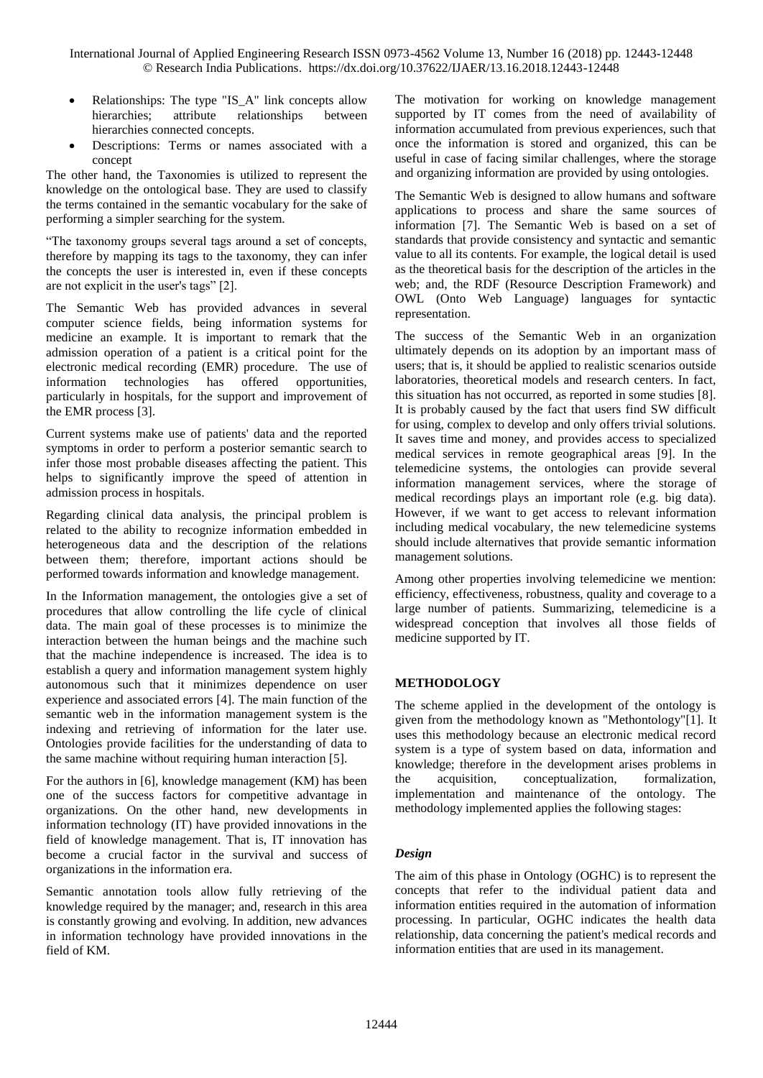- Relationships: The type "IS\_A" link concepts allow hierarchies; attribute relationships between hierarchies connected concepts.
- Descriptions: Terms or names associated with a concept

The other hand, the Taxonomies is utilized to represent the knowledge on the ontological base. They are used to classify the terms contained in the semantic vocabulary for the sake of performing a simpler searching for the system.

"The taxonomy groups several tags around a set of concepts, therefore by mapping its tags to the taxonomy, they can infer the concepts the user is interested in, even if these concepts are not explicit in the user's tags" [2].

The Semantic Web has provided advances in several computer science fields, being information systems for medicine an example. It is important to remark that the admission operation of a patient is a critical point for the electronic medical recording (EMR) procedure. The use of information technologies has offered opportunities, particularly in hospitals, for the support and improvement of the EMR process [3].

Current systems make use of patients' data and the reported symptoms in order to perform a posterior semantic search to infer those most probable diseases affecting the patient. This helps to significantly improve the speed of attention in admission process in hospitals.

Regarding clinical data analysis, the principal problem is related to the ability to recognize information embedded in heterogeneous data and the description of the relations between them; therefore, important actions should be performed towards information and knowledge management.

In the Information management, the ontologies give a set of procedures that allow controlling the life cycle of clinical data. The main goal of these processes is to minimize the interaction between the human beings and the machine such that the machine independence is increased. The idea is to establish a query and information management system highly autonomous such that it minimizes dependence on user experience and associated errors [4]. The main function of the semantic web in the information management system is the indexing and retrieving of information for the later use. Ontologies provide facilities for the understanding of data to the same machine without requiring human interaction [5].

For the authors in [6], knowledge management (KM) has been one of the success factors for competitive advantage in organizations. On the other hand, new developments in information technology (IT) have provided innovations in the field of knowledge management. That is, IT innovation has become a crucial factor in the survival and success of organizations in the information era.

Semantic annotation tools allow fully retrieving of the knowledge required by the manager; and, research in this area is constantly growing and evolving. In addition, new advances in information technology have provided innovations in the field of KM.

The motivation for working on knowledge management supported by IT comes from the need of availability of information accumulated from previous experiences, such that once the information is stored and organized, this can be useful in case of facing similar challenges, where the storage and organizing information are provided by using ontologies.

The Semantic Web is designed to allow humans and software applications to process and share the same sources of information [7]. The Semantic Web is based on a set of standards that provide consistency and syntactic and semantic value to all its contents. For example, the logical detail is used as the theoretical basis for the description of the articles in the web; and, the RDF (Resource Description Framework) and OWL (Onto Web Language) languages for syntactic representation.

The success of the Semantic Web in an organization ultimately depends on its adoption by an important mass of users; that is, it should be applied to realistic scenarios outside laboratories, theoretical models and research centers. In fact, this situation has not occurred, as reported in some studies [8]. It is probably caused by the fact that users find SW difficult for using, complex to develop and only offers trivial solutions. It saves time and money, and provides access to specialized medical services in remote geographical areas [9]. In the telemedicine systems, the ontologies can provide several information management services, where the storage of medical recordings plays an important role (e.g. big data). However, if we want to get access to relevant information including medical vocabulary, the new telemedicine systems should include alternatives that provide semantic information management solutions.

Among other properties involving telemedicine we mention: efficiency, effectiveness, robustness, quality and coverage to a large number of patients. Summarizing, telemedicine is a widespread conception that involves all those fields of medicine supported by IT.

# **METHODOLOGY**

The scheme applied in the development of the ontology is given from the methodology known as "Methontology"[1]. It uses this methodology because an electronic medical record system is a type of system based on data, information and knowledge; therefore in the development arises problems in the acquisition, conceptualization, formalization, implementation and maintenance of the ontology. The methodology implemented applies the following stages:

# *Design*

The aim of this phase in Ontology (OGHC) is to represent the concepts that refer to the individual patient data and information entities required in the automation of information processing. In particular, OGHC indicates the health data relationship, data concerning the patient's medical records and information entities that are used in its management.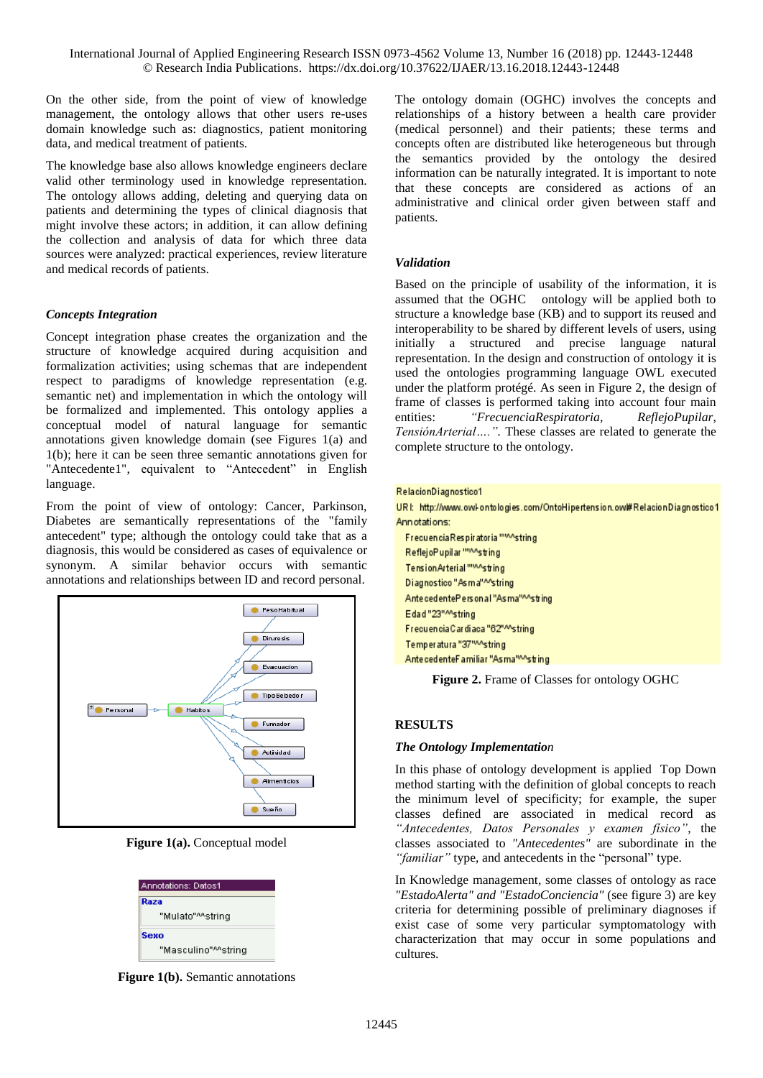International Journal of Applied Engineering Research ISSN 0973-4562 Volume 13, Number 16 (2018) pp. 12443-12448 © Research India Publications. https://dx.doi.org/10.37622/IJAER/13.16.2018.12443-12448

On the other side, from the point of view of knowledge management, the ontology allows that other users re-uses domain knowledge such as: diagnostics, patient monitoring data, and medical treatment of patients.

The knowledge base also allows knowledge engineers declare valid other terminology used in knowledge representation. The ontology allows adding, deleting and querying data on patients and determining the types of clinical diagnosis that might involve these actors; in addition, it can allow defining the collection and analysis of data for which three data sources were analyzed: practical experiences, review literature and medical records of patients.

### *Concepts Integration*

Concept integration phase creates the organization and the structure of knowledge acquired during acquisition and formalization activities; using schemas that are independent respect to paradigms of knowledge representation (e.g. semantic net) and implementation in which the ontology will be formalized and implemented. This ontology applies a conceptual model of natural language for semantic annotations given knowledge domain (see Figures 1(a) and 1(b); here it can be seen three semantic annotations given for "Antecedente1", equivalent to "Antecedent" in English language.

From the point of view of ontology: Cancer, Parkinson, Diabetes are semantically representations of the "family antecedent" type; although the ontology could take that as a diagnosis, this would be considered as cases of equivalence or synonym. A similar behavior occurs with semantic annotations and relationships between ID and record personal.



**Figure 1(a).** Conceptual model

| Annotations: Datos1 |  |  |  |
|---------------------|--|--|--|
| Raza                |  |  |  |
| "Mulato"^^strinq    |  |  |  |
| Sexo                |  |  |  |
| "Masculino"^^strinq |  |  |  |

**Figure 1(b).** Semantic annotations

The ontology domain (OGHC) involves the concepts and relationships of a history between a health care provider (medical personnel) and their patients; these terms and concepts often are distributed like heterogeneous but through the semantics provided by the ontology the desired information can be naturally integrated. It is important to note that these concepts are considered as actions of an administrative and clinical order given between staff and patients.

#### *Validation*

Based on the principle of usability of the information, it is assumed that the OGHC ontology will be applied both to structure a knowledge base (KB) and to support its reused and interoperability to be shared by different levels of users, using initially a structured and precise language natural representation. In the design and construction of ontology it is used the ontologies programming language OWL executed under the platform protégé. As seen in Figure 2, the design of frame of classes is performed taking into account four main entities: *"FrecuenciaRespiratoria, ReflejoPupilar, TensiónArterial….".* These classes are related to generate the complete structure to the ontology.

|  |  | RelacionDiagnostico1 |  |  |  |  |
|--|--|----------------------|--|--|--|--|
|  |  |                      |  |  |  |  |

URI: http://www.owl-ontologies.com/OntoHipertension.ow\#RelacionDiagnostico1 Annotations:

FrecuenciaRespiratoria ""^^string ReflejoPupilar """sting Tension Arterial """sting Diagnostico "As ma"^^string AntecedentePersonal "As ma"^^string Edad"23"^^string Frecuencia Cardiaca "62"Mstring Temperatura "37"^^string AntecedenteFamiliar "As ma"^^string

**Figure 2.** Frame of Classes for ontology OGHC

#### **RESULTS**

### *The Ontology Implementation*

In this phase of ontology development is applied Top Down method starting with the definition of global concepts to reach the minimum level of specificity; for example, the super classes defined are associated in medical record as *"Antecedentes, Datos Personales y examen físico"*, the classes associated to *"Antecedentes"* are subordinate in the *"familiar"* type, and antecedents in the "personal" type.

In Knowledge management, some classes of ontology as race *"EstadoAlerta" and "EstadoConciencia"* (see figure 3) are key criteria for determining possible of preliminary diagnoses if exist case of some very particular symptomatology with characterization that may occur in some populations and cultures.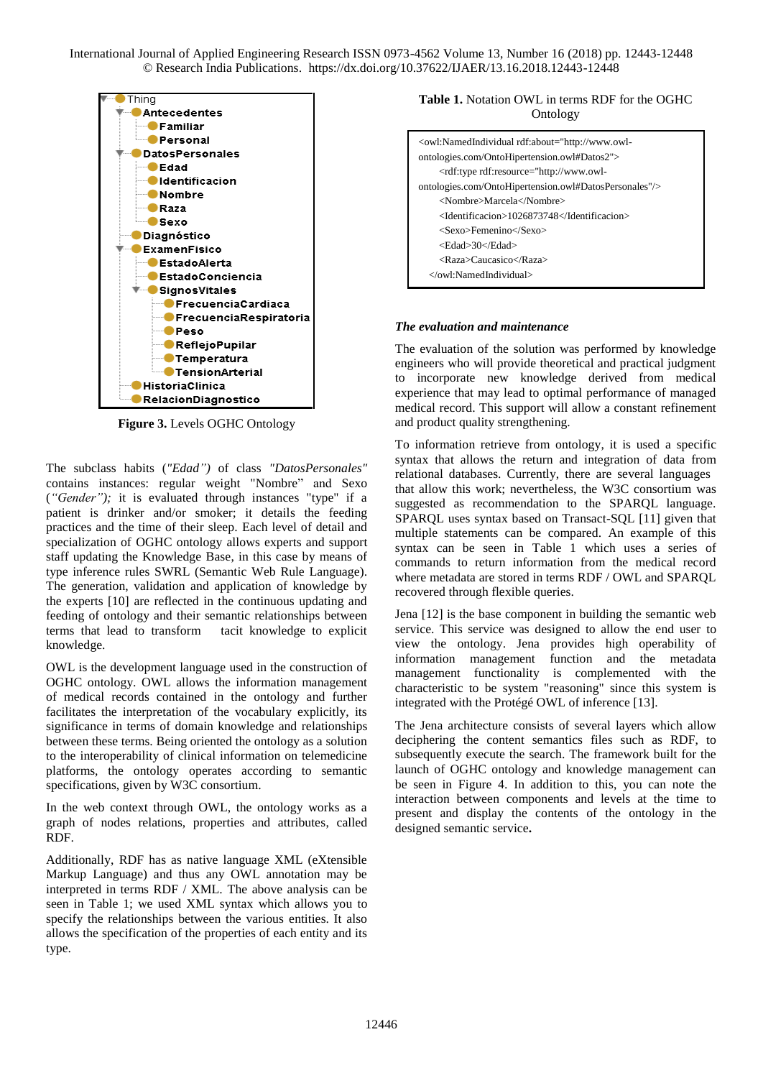International Journal of Applied Engineering Research ISSN 0973-4562 Volume 13, Number 16 (2018) pp. 12443-12448 © Research India Publications. https://dx.doi.org/10.37622/IJAER/13.16.2018.12443-12448



**Figure 3.** Levels OGHC Ontology

The subclass habits (*"Edad")* of class *"DatosPersonales"*  contains instances: regular weight "Nombre" and Sexo (*"Gender");* it is evaluated through instances "type" if a patient is drinker and/or smoker; it details the feeding practices and the time of their sleep. Each level of detail and specialization of OGHC ontology allows experts and support staff updating the Knowledge Base, in this case by means of type inference rules SWRL (Semantic Web Rule Language). The generation, validation and application of knowledge by the experts [10] are reflected in the continuous updating and feeding of ontology and their semantic relationships between terms that lead to transform tacit knowledge to explicit knowledge.

OWL is the development language used in the construction of OGHC ontology. OWL allows the information management of medical records contained in the ontology and further facilitates the interpretation of the vocabulary explicitly, its significance in terms of domain knowledge and relationships between these terms. Being oriented the ontology as a solution to the interoperability of clinical information on telemedicine platforms, the ontology operates according to semantic specifications, given by W3C consortium.

In the web context through OWL, the ontology works as a graph of nodes relations, properties and attributes, called RDF.

Additionally, RDF has as native language XML (eXtensible Markup Language) and thus any OWL annotation may be interpreted in terms RDF / XML. The above analysis can be seen in Table 1; we used XML syntax which allows you to specify the relationships between the various entities. It also allows the specification of the properties of each entity and its type.

## **Table 1.** Notation OWL in terms RDF for the OGHC Ontology

| <owl:namedindividual rdf:about="http://www.owl-&lt;br&gt;ontologies.com/OntoHipertension.owl#Datos2"></owl:namedindividual>                       |
|---------------------------------------------------------------------------------------------------------------------------------------------------|
| <rdf:type rdf:resource="http://www.owl-&lt;/td&gt;&lt;/tr&gt;&lt;tr&gt;&lt;td&gt;ontologies.com/OntoHipertension.owl#DatosPersonales"></rdf:type> |
| <nombre>Marcela</nombre>                                                                                                                          |
| <identificacion>1026873748</identificacion>                                                                                                       |
| <sexo>Femenino</sexo>                                                                                                                             |
| <edad>30</edad>                                                                                                                                   |
| <raza>Caucasico</raza>                                                                                                                            |
| $\langle$ /owl:NamedIndividual>                                                                                                                   |

#### *The evaluation and maintenance*

The evaluation of the solution was performed by knowledge engineers who will provide theoretical and practical judgment to incorporate new knowledge derived from medical experience that may lead to optimal performance of managed medical record. This support will allow a constant refinement and product quality strengthening.

To information retrieve from ontology, it is used a specific syntax that allows the return and integration of data from relational databases. Currently, there are several languages that allow this work; nevertheless, the W3C consortium was suggested as recommendation to the SPARQL language. SPARQL uses syntax based on Transact-SQL [11] given that multiple statements can be compared. An example of this syntax can be seen in Table 1 which uses a series of commands to return information from the medical record where metadata are stored in terms RDF / OWL and SPARQL recovered through flexible queries.

Jena [12] is the base component in building the semantic web service. This service was designed to allow the end user to view the ontology. Jena provides high operability of information management function and the metadata management functionality is complemented with the characteristic to be system "reasoning" since this system is integrated with the Protégé OWL of inference [13].

The Jena architecture consists of several layers which allow deciphering the content semantics files such as RDF, to subsequently execute the search. The framework built for the launch of OGHC ontology and knowledge management can be seen in Figure 4. In addition to this, you can note the interaction between components and levels at the time to present and display the contents of the ontology in the designed semantic service**.**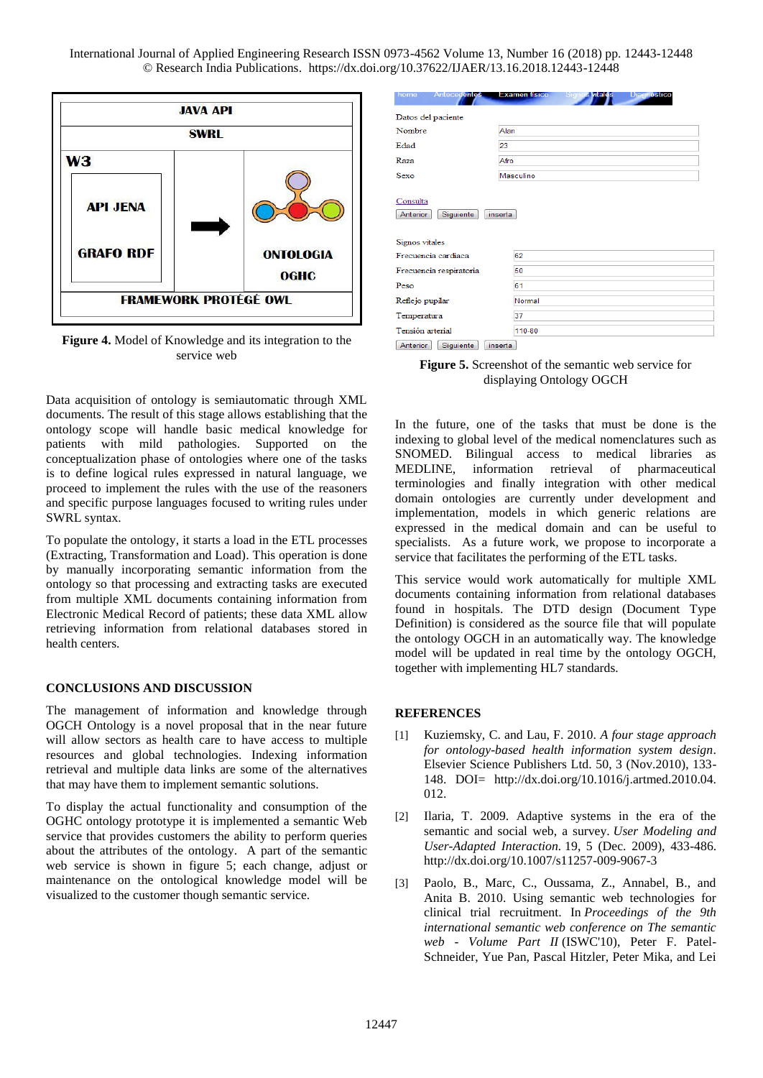International Journal of Applied Engineering Research ISSN 0973-4562 Volume 13, Number 16 (2018) pp. 12443-12448 © Research India Publications. https://dx.doi.org/10.37622/IJAER/13.16.2018.12443-12448



**Figure 4.** Model of Knowledge and its integration to the service web

Data acquisition of ontology is semiautomatic through XML documents. The result of this stage allows establishing that the ontology scope will handle basic medical knowledge for patients with mild pathologies. Supported on the conceptualization phase of ontologies where one of the tasks is to define logical rules expressed in natural language, we proceed to implement the rules with the use of the reasoners and specific purpose languages focused to writing rules under SWRL syntax.

To populate the ontology, it starts a load in the ETL processes (Extracting, Transformation and Load). This operation is done by manually incorporating semantic information from the ontology so that processing and extracting tasks are executed from multiple XML documents containing information from Electronic Medical Record of patients; these data XML allow retrieving information from relational databases stored in health centers.

#### **CONCLUSIONS AND DISCUSSION**

The management of information and knowledge through OGCH Ontology is a novel proposal that in the near future will allow sectors as health care to have access to multiple resources and global technologies. Indexing information retrieval and multiple data links are some of the alternatives that may have them to implement semantic solutions.

To display the actual functionality and consumption of the OGHC ontology prototype it is implemented a semantic Web service that provides customers the ability to perform queries about the attributes of the ontology. A part of the semantic web service is shown in figure 5; each change, adjust or maintenance on the ontological knowledge model will be visualized to the customer though semantic service.

| nome<br>Antecedentes                                | <b>Examen fisico</b><br>-Sigr<br>is vitales<br>Diagnostico |  |  |  |  |  |  |
|-----------------------------------------------------|------------------------------------------------------------|--|--|--|--|--|--|
| Datos del paciente                                  |                                                            |  |  |  |  |  |  |
| Nombre                                              | Alan                                                       |  |  |  |  |  |  |
| Edad                                                | 23                                                         |  |  |  |  |  |  |
| Raza                                                | Afro                                                       |  |  |  |  |  |  |
| Sexo                                                | Masculino                                                  |  |  |  |  |  |  |
| Consulta<br>Anterior<br>Siguiente<br>Signos vitales | inserta                                                    |  |  |  |  |  |  |
| Frecuencia cardiaca                                 |                                                            |  |  |  |  |  |  |
|                                                     | 62                                                         |  |  |  |  |  |  |
| Frecuencia respiratoria                             | 50                                                         |  |  |  |  |  |  |
| Peso                                                | 61                                                         |  |  |  |  |  |  |
| Reflejo pupilar                                     | Normal                                                     |  |  |  |  |  |  |
| Temperatura                                         | 37                                                         |  |  |  |  |  |  |
| Tensión arterial                                    | 110-80                                                     |  |  |  |  |  |  |
| Siguiente<br>Antorior                               | ine orta.                                                  |  |  |  |  |  |  |

**Figure 5.** Screenshot of the semantic web service for displaying Ontology OGCH

In the future, one of the tasks that must be done is the indexing to global level of the medical nomenclatures such as SNOMED. Bilingual access to medical libraries as<br>MEDLINE, information retrieval of pharmaceutical MEDLINE, information retrieval of terminologies and finally integration with other medical domain ontologies are currently under development and implementation, models in which generic relations are expressed in the medical domain and can be useful to specialists. As a future work, we propose to incorporate a service that facilitates the performing of the ETL tasks.

This service would work automatically for multiple XML documents containing information from relational databases found in hospitals. The DTD design (Document Type Definition) is considered as the source file that will populate the ontology OGCH in an automatically way. The knowledge model will be updated in real time by the ontology OGCH, together with implementing HL7 standards.

## **REFERENCES**

- [1] Kuziemsky, C. and Lau, F. 2010. *A four stage approach for ontology-based health information system design*. Elsevier Science Publishers Ltd. 50, 3 (Nov.2010), 133- 148. DOI= [http://dx.doi.org/10.1016/j.artmed.2010.04.](http://dx.doi.org/10.1016/j.artmed.2010.04.012) [012.](http://dx.doi.org/10.1016/j.artmed.2010.04.012)
- [2] Ilaria, T. 2009. Adaptive systems in the era of the semantic and social web, a survey. *User Modeling and User-Adapted Interaction.* 19, 5 (Dec. 2009), 433-486. <http://dx.doi.org/10.1007/s11257-009-9067-3>
- [3] Paolo, B., Marc, C., Oussama, Z., Annabel, B., and Anita B. 2010. Using semantic web technologies for clinical trial recruitment. In *Proceedings of the 9th international semantic web conference on The semantic web - Volume Part II* (ISWC'10), Peter F. Patel-Schneider, Yue Pan, Pascal Hitzler, Peter Mika, and Lei